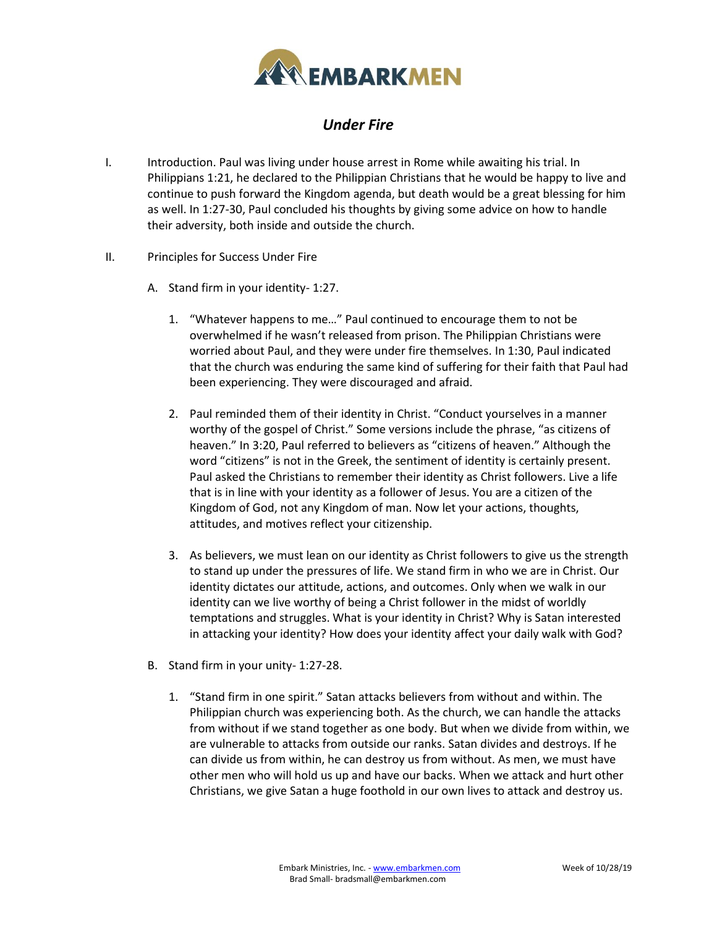

## *Under Fire*

- I. Introduction. Paul was living under house arrest in Rome while awaiting his trial. In Philippians 1:21, he declared to the Philippian Christians that he would be happy to live and continue to push forward the Kingdom agenda, but death would be a great blessing for him as well. In 1:27-30, Paul concluded his thoughts by giving some advice on how to handle their adversity, both inside and outside the church.
- II. Principles for Success Under Fire
	- A. Stand firm in your identity- 1:27.
		- 1. "Whatever happens to me…" Paul continued to encourage them to not be overwhelmed if he wasn't released from prison. The Philippian Christians were worried about Paul, and they were under fire themselves. In 1:30, Paul indicated that the church was enduring the same kind of suffering for their faith that Paul had been experiencing. They were discouraged and afraid.
		- 2. Paul reminded them of their identity in Christ. "Conduct yourselves in a manner worthy of the gospel of Christ." Some versions include the phrase, "as citizens of heaven." In 3:20, Paul referred to believers as "citizens of heaven." Although the word "citizens" is not in the Greek, the sentiment of identity is certainly present. Paul asked the Christians to remember their identity as Christ followers. Live a life that is in line with your identity as a follower of Jesus. You are a citizen of the Kingdom of God, not any Kingdom of man. Now let your actions, thoughts, attitudes, and motives reflect your citizenship.
		- 3. As believers, we must lean on our identity as Christ followers to give us the strength to stand up under the pressures of life. We stand firm in who we are in Christ. Our identity dictates our attitude, actions, and outcomes. Only when we walk in our identity can we live worthy of being a Christ follower in the midst of worldly temptations and struggles. What is your identity in Christ? Why is Satan interested in attacking your identity? How does your identity affect your daily walk with God?
	- B. Stand firm in your unity- 1:27-28.
		- 1. "Stand firm in one spirit." Satan attacks believers from without and within. The Philippian church was experiencing both. As the church, we can handle the attacks from without if we stand together as one body. But when we divide from within, we are vulnerable to attacks from outside our ranks. Satan divides and destroys. If he can divide us from within, he can destroy us from without. As men, we must have other men who will hold us up and have our backs. When we attack and hurt other Christians, we give Satan a huge foothold in our own lives to attack and destroy us.